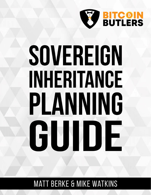

# SOVEREIGN INHERITANCE PLANNING GUIDE

# **MATT BERKE & MIKE WATKINS**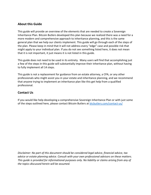#### **About this Guide**

This guide will provide an overview of the elements that are needed to create a Sovereign Inheritance Plan. Bitcoin Butlers developed this plan because we realized there was a need for a more modern and comprehensive approach to inheritance planning, and this is the same general plan that we help our clients implement. This guide will go through each of the steps of the plan. Please keep in mind that it will not address every "edge" case and possible risk that might apply to your individual plan. If you do not see something listed here, it does not mean that it is not important, it just means it is not listed in this guide.

This guide does not need to be used in its entirety. Many users will find that accomplishing just a few of the steps in this guide will substantially improve their inheritance plan, without having to fully implement all 14 steps.

This guide is not a replacement for guidance from an estate attorney, a CPA, or any other professionals who might assist you in your estate and inheritance planning, and we recommend that anyone trying to implement an inheritance plan like this get help from a qualified professional.

#### **Contact Us**

If you would like help developing a comprehensive Sovereign Inheritance Plan or with just some of the steps outlined here, please contact Bitcoin Butlers at [btcbutlers.com/contact-us/](https://www.btcbutlers.com/contact-us/)

*Disclaimer: No part of this document should be considered legal advice, financial advice, tax advice or estate planning advice. Consult with your own professional advisors on these matters. This guide is provided for informational purposes only. No liability or claims arising from any of the topics discussed herein will be assumed.*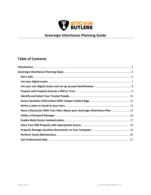

# **Sovereign Inheritance Planning Guide**

## **Table of Contents**

| Have a Discussion With Your Heirs About your Sovereign Inheritance Plan 15 |  |
|----------------------------------------------------------------------------|--|
|                                                                            |  |
|                                                                            |  |
|                                                                            |  |
|                                                                            |  |
|                                                                            |  |
|                                                                            |  |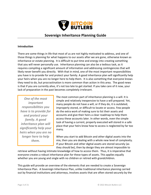

### **Sovereign Inheritance Planning Guide**

#### <span id="page-3-0"></span>**Introduction**

There are some things in life that most of us are not highly motivated to address, and one of those things is planning for what happens to our assets after we are gone, otherwise known as inheritance or estate planning. It is difficult to put time and energy into creating something that you will never personally use. Inheritance planning can also be a tedious task, as it requires compiling a significant amount of information and addressing contingencies that will likely never benefit you directly. With that in mind, one of the most important responsibilities you have is to provide for and protect your family. A good inheritance plan will significantly help your heirs when you are no longer here to help them. It is also something that everyone knows they need to do, but procrastination is more common than action in this area. The good news is that if you are currently alive, it's not too late to get started. If you take care of it now, your lack of preparation in the past becomes completely irrelevant.

*One of the most important responsibilities you have is to provide for and protect your family. A good inheritance plan will significantly help your heirs when you are no longer here to help them.* 

The most common part of inheritance planning is a will. It is simple and relatively inexpensive to have a will prepared. Yet, many people do not have a will, or if they do, it is outdated, improperly stored, or difficult to locate or access. Few people do the extra work of making sure to list their assets and accounts and give their heirs a clear roadmap to help them access these accounts later. In other words, even the simple task of having a current, properly executed will stored in a safe place that your heirs know how to access is neglected by far too many.

When you start to add Bitcoin and other digital assets into the mix, then you are dealing with a whole new level of complexity. If your Bitcoin and other digital assets are stored securely (as they should be), then by design they are almost impossible to

retrieve without having intimate knowledge of how to access them. Thus, it is imperative that everyone creates a robust inheritance plan for these types of assets. This applies equally whether you are young and single with no children or retired with grandchildren.

This guide will provide an overview of the elements that are needed to create a Sovereign Inheritance Plan. A Sovereign Inheritance Plan, unlike traditional inheritance planning carried out by financial institutions and attorneys, involves assets that are often stored securely by the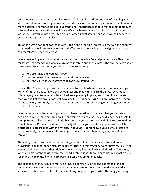owner outside of banks and other institutions. This requires a different kind of planning and structure. However, owning Bitcoin or other digital assets is not a requirement to implement a more detailed inheritance plan. If your traditional inheritance plan follows the methodology of a Sovereign Inheritance Plan, it will be significantly better than a traditional plan. In other words, even if you do not own Bitcoin or any other digital assets, your heirs will still benefit if you put this type of plan in place.

This guide was developed for those with Bitcoin and other digital assets, however, the concepts contained here will certainly be useful and effective for those without any digital assets, and can therefore be used by anyone.

When developing any kind of inheritance plan, particularly a Sovereign Inheritance Plan, you must first understand the global picture of your estate and then address the appropriate one of three most likely scenarios if you were to die unexpectedly:

- 1. You are single and you pass away
- 2. You are married or have a partner and you pass away
- 3. You and your spouse/partner pass away simultaneously

Even in the "You are Single" scenario, you need to decide where you want your assets to go. Many of those in this category will be younger and may not have children. As such, those in this category tend to have very little inheritance planning in place, and in fact it is estimated that over half of this group does not have a will. This is not a surprise since many of the people in this category are simply too young to be thinking in terms of passing on multi-generational assets to their heirs.

Whether or not you have heirs, you want to have something in place so that your assets go to people or a cause that you care about. For example, a single person could leave their assets to their parents, siblings, or even a charitable cause. If you do nothing, and die intestate (without a will), then the Probate Court will essentially take over your estate, and your assets will be distributed in accordance with their wishes, not yours. Additionally, if your digital assets are stored securely, but no one has knowledge on how to access them, they may be forfeited forever.

This category also covers those that are single with children. Because of this, additional provisions in an inheritance plan are required. Those in this category do not have the luxury of leaving their assets to another adult with whom they live and have a relationship. Therefore, when a single parent passes away, they need a robust inheritance plan which will most closely resemble the plan used when both parents pass away simultaneously.

The second scenario, "You are married or have a partner" is often the easiest to plan and implement since you have someone in the same household who can be easily educated and shown what steps need to be taken if something happens to you. While this may give many a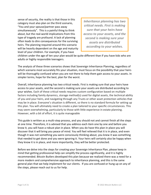sense of security, the reality is that those in this category must also plan on the third scenario, "You and your spouse/partner pass away simultaneously". This is a painful thing to think about, but the real-world implications from this type of tragedy are profound. A lack of planning often leads to dire consequences for the surviving heirs. The planning required around this scenario will be heavily dependent on the age and maturity level of your children. For example, if you have

*Inheritance planning has two critical needs. First is making sure that your heirs have access to your assets, and the second is making sure your assets are distributed according to your wishes.*

children under the age of ten your plan would be quite different than if you have kids who are adults or highly responsible teenagers.

The analysis of these three scenarios shows that Sovereign Inheritance Planning, regardless of which scenario most accurately fits your situation, must focus on the possibility that your heirs will be thoroughly confused when you are not there to help them gain access to your assets. In simpler terms, hope for the best, plan for the worst.

Overall, inheritance planning has two critical needs. First is making sure that your heirs have access to your assets, and the second is making sure your assets are distributed according to your wishes. Each of these critical needs requires custom configuration based on multiple factors including family dynamics, storage method(s) used for digital assets, the technical ability of you and your heirs, and navigating through any Trusts or other asset protection vehicles that may be in place. Everyone's situation is different, so there is no standard formula for setting up this plan. You will ultimately need to create a plan tailored to your specific circumstances. This may seem overwhelming, particularly to those with little experience in estate planning. However, with a bit of effort, it is quite manageable

This guide is written as a multi-step process, and you should not and cannot finish all the steps at one time. Therefore, it is advised that you address each item one by one and before you know it, you will have a robust plan in place. When you do have this plan in place you will discover that it will bring you peace of mind. You will feel relieved that it is in place, and even though it was not something you were consciously thinking about, you knew it was something that needed to get done and you were ignoring it. Your heirs will certainly also be happy when they know it is in place, and more importantly, they will be better protected.

Before we delve into the steps for creating your Sovereign Inheritance Plan, please keep in mind that getting professional help can simplify the process significantly, and it is highly recommended. Bitcoin Butlers developed this plan because we realized there was a need for a more modern and comprehensive approach to inheritance planning, and this is the same general plan that we help implement for our clients. If you are confused or hung up on any of the steps, please reach out to us for help.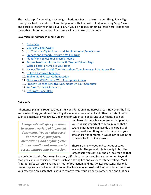The basic steps for creating a Sovereign Inheritance Plan are listed below. This guide will go through each of these steps. Please keep in mind that we will not address every "edge" case and possible risk for your individual plan. If you do not see something listed here, it does not mean that it is not important, it just means it is not listed in this guide.

#### <span id="page-6-0"></span>**Sovereign Inheritance Planning Steps:**

- 1. [Get a Safe](#page-6-1)
- 2. [List Your Digital Assets](#page-7-0)
- 3. List Your Non-Digital [Assets and Set Up Account Beneficiaries](#page-8-0)
- 4. [Prepare and Properly Execute a Will or Trust](#page-9-0)
- 5. [Identify and Select Your Trusted People](#page-10-0)
- 6. [Secure Sensitive Information With](#page-12-0) Tamper Evident Bags
- 7. [Write a Letter](#page-13-0) or Email to Your Heirs
- 8. [Have a Discussion With Your Heirs About Your Sovereign Inheritance Plan](#page-15-0)
- 9. [Utilize a Password Manager](#page-16-0)
- 10. [Enable Multi-Factor Authentication](#page-17-0)
- 11. [Store Your Will Properly With Appropriate](#page-18-0) Access
- 12. [Properly Manage Sensitive Documents On Your Computer](#page-19-0)
- 13. [Perform Yearly Maintenance](#page-20-0)
- 14. [Get Professional Help](#page-21-0)

#### <span id="page-6-1"></span>**Get a safe**

Inheritance planning requires thoughtful consideration in numerous areas. However, the first and easiest thing you should do is to get a safe to store your will and other important items such as a hardware wallet/key. Depending on which safe best suits your needs, it can be

*A large safe will give you room to secure a variety of important documents. You can also use it to store keys, passports, medications, and anything else that you don't want someone to access without your permission.*

purchased in just a few minutes and shipped to you. It is also important to keep in mind that a strong inheritance plan avoids single points of failure, so if something were to happen to your safe and/or its contents, it would not result in the catastrophic loss of any assets.

There are many types and varieties of safes available. The general rule is simply to buy the largest safe you can. You should look for one that

can be bolted to the floor to make it very difficult to be removed from your home. Beyond that, you can also consider features such as a strong fire and water resistance rating. Most fireproof safes will only give you an hour of protection, and most water-resistant safes only protect against a small amount of water, like from an overhead sprinkler, so it is best to focus your attention on a safe that is hard to remove from your property, rather than one that has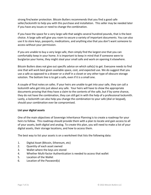strong fire/water protection. Bitcoin Butlers recommends that you find a good safe seller/locksmith to help you with this purchase and installation. This seller may be needed later if you have any issues or need to change the combination.

If you have the space for a very large safe that weighs several hundred pounds, that is the best choice. A large safe will give you room to secure a variety of important documents. You can also use it to store keys, passports, medications, and anything else that you don't want someone to access without your permission.

If you are unable to buy a very large safe, then simply find the largest one that you can comfortably keep in your home. It is important to keep in mind that if someone were to burglarize your home, they might steal your small safe and work on opening it elsewhere.

Bitcoin Butlers does not give out specific advice on which safe(s) to get. Everyone needs to find one that will work best given available space, cost, and expected use. We do suggest that you use a safe as opposed to a drawer or a shelf in a closet or any other type of obscure storage solution. The bottom line is to get a safe, even if it is a small one.

A couple of final notes on safes. If your heirs are unable to get into your safe, they can call a locksmith who get into just about any safe. Your heirs will have to show the appropriate documents proving that they have a claim to the contents of the safe, but if by some chance, they do not have the combination, they can still get in with the help of a professional locksmith. Lastly, a locksmith can also help you change the combination to your safe (dial or keypad), should your combination ever be compromised.

#### <span id="page-7-0"></span>**List your digital assets**

One of the main objectives of Sovereign Inheritance Planning is to create a roadmap for your heirs to follow. This roadmap should provide them with a plan to locate and gain access to all of your assets, both digital and analog. To create this plan, you will need to make a list of your digital assets, their storage locations, and how to access them.

The best way to list your assets is on a worksheet that lists the following data:

- 1. Digital Asset (Bitcoin, Ethereum, etc)
- 2. Quantity of each asset owned
- 3. Wallet where the keys are stored
- 4. Whether Multi-factor Authentication is needed to access that wallet
- 5. Location of the Wallet
- 6. Location of the Password(s)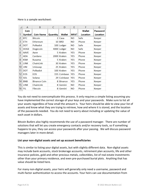Here is a sample worksheet:

| A             | B                   | C        | D              | F                                                                                                                                                                      | F             | G        |
|---------------|---------------------|----------|----------------|------------------------------------------------------------------------------------------------------------------------------------------------------------------------|---------------|----------|
| Coin          |                     |          |                |                                                                                                                                                                        | <b>Wallet</b> | Password |
| <b>Symbol</b> | <b>Coin Name</b>    | Quantity | <b>Wallet</b>  | MFA?                                                                                                                                                                   | Location      | Location |
| <b>BTC</b>    | <b>Bitcoin</b>      |          |                | <b>NO</b>                                                                                                                                                              | Safe          | Keeper   |
| <b>ETH</b>    | Ethereum            |          |                | <b>NO</b>                                                                                                                                                              | Phone         | Keeper   |
| <b>DOT</b>    | Polkadot            |          |                | <b>NO</b>                                                                                                                                                              | Safe          | Keeper   |
| <b>DOGE</b>   | Dogecoin            |          |                | NΟ                                                                                                                                                                     | Safe          | Keeper   |
| <b>AAVE</b>   | Aave                |          |                | YES                                                                                                                                                                    | Phone         | Keeper   |
| ADA           | Cardano             |          |                | <b>YES</b>                                                                                                                                                             | Phone         | Keeper   |
| <b>KSM</b>    | Kusama              |          |                | <b>YES</b>                                                                                                                                                             | Phone         | Keeper   |
| <b>LINK</b>   | ChainLink           |          |                | <b>YES</b>                                                                                                                                                             | Phone         | Keeper   |
| <b>UNI</b>    | Uniswap             |          |                | YES                                                                                                                                                                    | Phone         | Keeper   |
| <b>DOT</b>    | Polkadot            |          |                | <b>YES</b>                                                                                                                                                             | Phone         | Keeper   |
| <b>EOS</b>    | <b>EOS</b>          |          |                | <b>YES</b>                                                                                                                                                             | Phone         | Keeper   |
| SOL           | Solana              |          |                | <b>YES</b>                                                                                                                                                             | Phone         | Keeper   |
| <b>BNB</b>    | <b>Binance Coin</b> | 8        | <b>Binance</b> | <b>YES</b>                                                                                                                                                             | Phone         | Keeper   |
| <b>LINK</b>   | ChainLink           | 8        | Gemini         | <b>NO</b>                                                                                                                                                              | Phone         | Keeper   |
| FIL           | <b>Filecoin</b>     | 8        | Gemini         | <b>NO</b>                                                                                                                                                              | Phone         | Keeper   |
|               |                     |          |                | 2 Casa<br><b>10 BRD</b><br>100 Ledger<br>4000 Ledger<br>5.<br>Kraken<br>2000 Kraken<br>5 Kraken<br>30 Kraken<br>25 Kraken<br>100 Kraken<br>155 Coinbase<br>29 Coinbase |               |          |

You do not need to overcomplicate this process. It only requires a simple listing assuming you have implemented the correct storage of your keys and your passwords. Make sure to list all your assets regardless of how small the amount is. Your heirs should be able to view your list of assets and know what they are trying to retrieve, how and where it is stored, and the location of the passwords needed. You do not need to worry about including or updating the value of each asset in dollars.

Bitcoin Butlers also highly recommends the use of a password manager. There are number of solutions that will let you create emergency contacts and/or recovery tools, so if something happens to you, they can access your passwords after your passing. We will discuss password managers later in more detail.

#### <span id="page-8-0"></span>**List your non-digital assets and set up account beneficiaries**

This is similar to listing your digital assets, but with slightly different data. Non-digital assets may include bank accounts, stock brokerage accounts, retirement plan accounts, life and other insurance policies, gold and other precious metals, collectibles, list of real estate investments other than your primary residence, and even pre-purchased burial plots. Anything that has value should be listed here.

For many non-digital assets, your heirs will generally only need a username, password and multi-factor authentication to access the accounts. Your heirs can use documentation from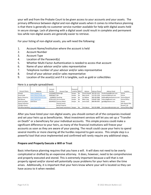your will and from the Probate Court to be given access to your accounts and your assets. The primary difference between digital and non-digital assets when it comes to inheritance planning is that there is generally no customer service number available for help with digital assets held in secure storage. Lack of planning with a digital asset could result in complete and permanent loss while non-digital assets are generally easier to retrieve.

For your listing of non-digital assets, you will need the following:

- 1. Account Name/Institution where the account is held
- 2. Account Number
- 3. Account Type
- 4. Location of the Password(s)
- 5. Whether Multi-Factor Authentication is needed to access that account
- 6. Name of your advisor and/or sales representative
- 7. Telephone number of your advisor and/or sales representative
- 8. Email of your advisor and/or sales representative
- 9. Location of the asset(s) and if it is tangible, such as gold or collectibles

| Here is a sample spreadsheet: |                                            |                      |                               |                           |           |              |                      |                            |                    |  |
|-------------------------------|--------------------------------------------|----------------------|-------------------------------|---------------------------|-----------|--------------|----------------------|----------------------------|--------------------|--|
| <b>Account Name</b>           | Website                                    | Account<br>Number    | Account Type                  | Password<br>Location MFA? |           | Advisor      | <b>Advisor Phone</b> | <b>Advisor Email</b>       | Location           |  |
| Schwab                        | www.schwab.com                             | 1122334455 Brokerage |                               | Keeper                    | No        | Chuck Schwab | 202-555-1212         | chuckschwab@email.com      | Online             |  |
| Ameritrade                    | www.tdameritrade.com                       | 3344556677 IRA       |                               | Keeper                    | <b>No</b> | Mary Smith   | 212-555-1234         | marysmith@email.com        | Online             |  |
| <b>Bank of America</b>        | www.bankofamerica.com                      | 123498765 Checking   |                               | Keeper                    | <b>No</b> | Jim Balboa   | 404-420-6969         | jbalboa@bankofamerica.com  | Online/Branch      |  |
| <b>NW Mutual</b>              | www.nwml.com                               |                      | 3579111315 Life Insurance     | Keeper                    | No        | Mike Craig   | 678-867-5309         | mikecraig@nwml.com         | Online/Office      |  |
| <b>Gold Coins/Bars</b>        | Gold Store                                 |                      | 6655443322 Precious Metal     | Keeper                    | <b>No</b> | Jamie Gold   | 808-999-8787         | jgold@goldstore.com        | Online             |  |
| <b>Stamp Collection</b>       |                                            |                      | Physical assets               |                           |           |              |                      |                            | Safe Deposit Box   |  |
| 123 Main Street               |                                            |                      | Rental Property               |                           |           |              |                      |                            | Roswell, GA        |  |
|                               | 515 Office Building   www.baconoffices.com |                      | Real Estate Investment Keeper |                           | <b>No</b> | Chris Bacon  | 202-555-9898         | chris.bacon@realestate.com | Online/Office Bldg |  |
|                               |                                            |                      |                               |                           |           |              |                      |                            |                    |  |

After you have listed your non-digital assets, you should contact all of the companies involved and set your heirs up as beneficiaries. Most investment services will let you set up a "Transfer on Death" or a beneficiary for your individual accounts. This simple process could make a significant difference to your heirs, as many of the financial institutions will freeze your accounts as soon as they are aware of your passing. The result could cause your heirs to spend several months or more clearing all the hurdles required to gain access. This simple step is a powerful tool that once implemented and confirmed will rarely require any additional steps.

#### <span id="page-9-0"></span>**Prepare and Properly Execute a Will or Trust**

Basic inheritance planning requires that you have a will. A will does not need to be overly complicated or drafted by an expensive attorney. It does, however, need to be comprehensive and properly executed and stored. This is extremely important because a will that is not properly signed and/or stored will potentially cause problems for your heirs when the time arises. Additionally, it is important that your heirs know where your will is located so they can have access to it when needed.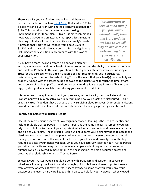There are wills you can find for free online and there are inexpensive solutions such as [Legal Zoom](https://www.legalzoom.com/personal/estate-planning/last-will-and-testament-overview.html) that start at \$89 for a basic will and a version with limited attorney assistance for \$179. This should be affordable for anyone looking to implement an inheritance plan. Bitcoin Butlers recommends, however, that you find an attorney that specializes in estate planning to find a solution that best fits your family's needs. A professionally drafted will ranges from about \$500 to \$2,500, and that should give you both professional guidance including proper execution in accordance with the laws of your jurisdiction.

*It is important to keep in mind that if you pass away without a will, then the State and the Probate Court will play an active role in determining how your assets are distributed.*

If you have a more involved estate plan and/or a high net

worth, you may seek additional levels of asset protection and the ability to minimize the time and hassle of Probate. In this case, you should talk to your estate attorney about utilizing a Trust for this purpose. While Bitcoin Butlers does not recommend specific structures, jurisdictions, and methods for establishing Trusts, the key is that your Trust(s) must be fully and properly funded with the assets being endowed to the Trust. Going through the time, effort, and expense of setting up a Trust without properly funding it is the equivalent of buying the biggest, strongest safe available and storing your valuables next to it.

It is important to keep in mind that if you pass away without a will, then the State and the Probate Court will play an active role in determining how your assets are distributed. This is especially true if you don't have a spouse or any surviving blood relatives. Different jurisdictions have different rules and laws, but this is easily avoided by having a properly executed will.

#### <span id="page-10-0"></span>**Identify and Select Your Trusted People**

One of the most unique aspects of Sovereign Inheritance Planning is the need to identify and include multiple trusted people. A Trusted Person, as the name implies, is someone you can rely upon to hold onto some of your important inheritance documents and serve as a resource and aide to your heirs. These Trusted People will hold items your heirs may need to access and distribute your assets, such as the password to your computer, password to your password manager, a copy of your will, a copy of the letter to your heirs, and possibly one of the keys required to access your digital wallet(s). Once you have carefully selected your Trusted People, you will store the items being held by them in a tamper evident bag with a unique serial number (which is covered in more detail in the next section) to help discourage access and preserve the relationship with that Trusted Person.

Selecting your Trusted People should be done with great care and caution. In Sovereign Inheritance Planning, we look to avoid any single point of failure and seek to protect assets from any type of attack. It may therefore seem strange to some that you would give your passwords and even a hardware key to a third party to hold for you. However, when viewed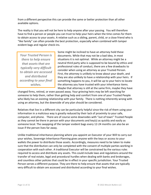from a different perspective this can provide the same or better protection than all other available options.

The reality is that you will not be here to help anyone after your passing. You will therefore have to find a person or people you can trust to help your heirs when the time comes for them to obtain access to your assets. A relative such as a sibling, parent, child, or a close friend who is "like family" can often provide the best protection, especially when combined with tamper evident bags and regular check-ins.

*Your Trusted Person is there to help ensure that assets that are typically very difficult to obtain are accessed and distributed according to your final wishes.*

Some might be inclined to have an attorney hold these documents. While that may not be a bad idea, in most situations it is not optimal. While an attorney might be a neutral third party who is supposed to be bound by ethics and professional rules of conduct, there are a few drawbacks to consider when using an attorney as your Trusted Person. First, the attorney is unlikely to know about your death, and they are also unlikely to have a relationship with your heirs. If something happens to you, it will be up to your heirs to locate the attorney you have trusted with your inheritance items. Maybe that attorney is still at the same firm, maybe they have

changed firms, retired, or even passed away. Your grieving heirs may be left searching for someone to help them, rather than getting help and comfort from one of your Trusted People who likely has an existing relationship with your family. There is nothing inherently wrong with using an attorney, but the downside of any plan should be considered.

Relatives that live in a different city can be particularly helpful since the risk of them using your information in a malicious way is greatly reduced by their lack of proximity to your safe, computer, and phone. There are of course some downsides with "out of town" Trusted People as they cannot be there in person with your documents and key(s) as quickly and easily as someone local. The swapping of the tamper evident bags every 12-24 months can also be an issue if the person lives far away.

Unlike traditional inheritance planning where you appoint an Executor of your Will to carry out your wishes, Sovereign Inheritance Planning gives anyone with the keys or access to your wallets the power to distribute those assets. Accordingly, measures need to be taken to make sure that the distribution can only be completed with the consent of multiple parties working in cooperation with each other. A traditional Executor will be constrained by the various rules required to access and distribute any assets. This could include laws and regulations around the transfer of real estate, legal and procedural hurdles when dealing with banks and brokerages, and countless other policies that could be in effect in your specific jurisdiction. Your Trusted Person serves a different purpose. They are there to help ensure that assets that are typically very difficult to obtain are accessed and distributed according to your final wishes.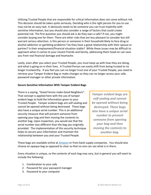Utilizing Trusted People that are responsible for critical information does not come without risk. This decision should be taken quite seriously. Deciding who is the right person for you to use may not be an easy task. It obviously needs to be someone you can trust implicitly with sensitive information, but you should also consider a range of factors that could create potential risk. The first question you should ask is do they own a safe? If not, you might consider buying one for them. There are other risks that are less pleasant to consider but still warrant serious attention. Is this person or someone in their household likely to face drug or alcohol addiction or gambling problems? Do they have a good relationship with their spouse or partner? Is their employment/financial situation stable? While these issues may be difficult to approach when it comes to your closest friends and family, addressing them head-on can save you from real financial damage and heartache.

Lastly, even after you select your Trusted People, you must keep up with how they are doing, and what is going on in their lives. A Trusted Person can easily shift from being trusted to no longer trustworthy. If you feel you can no longer trust one of your Trusted People, you need to retrieve your Tamper Evident Bag or make changes so they can no longer access your safe, password manager or other private information.

#### <span id="page-12-0"></span>**Secure Sensitive Information With Tamper Evident Bags**

There is a saying, "Good Fences make Good Neighbors". That concept is applied here with the use of tamper evident bags to hold the information given to your Trusted People. Tamper evident bags are self-sealing and cannot be opened without being destroyed. These bags also have a unique serial number. This is an additional security measure that will prevent someone from opening your bag and then moving the contents to another bag. Upon inspection, you would see that the serial number was different than the bag you originally provided. The implementation of this security technique helps to secure your information and maintain the relationship between you and your Trusted People.

*Tamper evident bags are self-sealing and cannot be opened without being destroyed. These bags also have a unique serial number to prevent someone from opening your bag and then moving the contents to another bag.*

These bags are available online at [Amazon](https://www.amazon.com/s?k=tamper+evident+bags&crid=3PY080Z4QBQ0D&sprefix=tamper+evident+bags%2Caps%2C173&ref=nb_sb_noss_1) or from bank supply companies. You should also choose an opaque bag as opposed to clear so that no one can see what is in there.

Every situation is unique, so the contents of each bag may vary, but in general you will want to include the following:

- 1. Combination to your safe
- 2. Password for your password manager
- 3. Password to your computer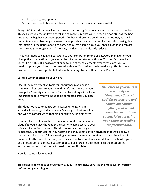- 4. Password to your phone
- 5. Recovery seed phrase or other instructions to access a hardware wallet

Every 12-24 months, you will want to swap out the bag for a new one with a new serial number. This will give you the ability to check in and make sure that your Trusted Person still has the bag and that the bag has not been opened. If either of these two conditions are not met, you will immediately need to change passwords and possibly the combination to your safe. Having this information in the hands of a third party does create some risk. If you check in on it and replace it on intervals no longer than 24 months, the risks are significantly reduced.

If you ever need to change a password to your computer, phone or password manager, or you change the combination to your safe, the information stored with your Trusted People will no longer be helpful. If a password change to one of these elements ever takes place, you will need to update your information stored with your Trusted People immediately. This is true for any piece of password protected information being stored with a Trusted Person.

#### <span id="page-13-0"></span>**Write a Letter or Email to your heirs**

One of the most effective tools for inheritance planning is a simple email or letter to your heirs that informs them that you have put a Sovereign Inheritance Plan in place along with a list of important people who will need to be contacted after you pass away.

This does not need to be too complicated or lengthy, but it should acknowledge that you have a Sovereign Inheritance Plan and who to contact when that plan needs to be implemented.

In general, it is not advisable to email or store documents in the cloud if it would give the reader the ability to gain access to your private information or assets. This document is essentially an

*The letter to your heirs is essentially an "Emergency Contact List" for your estate and should not contain anything that would allow a bad actor to be successful in accessing your assets or stealing confidential data.*

"Emergency Contact List" for your estate and should not contain anything that would allow a bad actor to be successful in accessing your assets or stealing confidential data. Emailing this document is the easiest method, but it is also fine to store it in a shared drive, as a hard copy or as a photograph of a printed version that can be stored in the cloud. Pick the method that works best for each heir that will need to access this later.

Here is a sample letter/email:

#### **This letter is up to date as of January 1, 2022. Please make sure it is the most current version before doing anything with it.**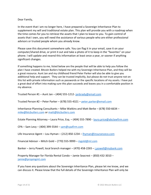Dear Family,

In the event that I am no longer here, I have prepared a Sovereign Inheritance Plan to supplement my will and traditional estate plan. This plan will provide you with a roadmap when the time comes for you to retrieve the assets that I plan to leave to you. To gain control of assets that I own, you will need the assistance of various people who are either professional advisors or trusted people whom you already know.

Please save this document somewhere safe. You can flag it in your email, save it on your computer/shared drive, or print it out and take a photo of it to keep in the "favorites" on your phone. I will update and resend this information at least once a year, or sooner if anything significant changes.

If something happens to me, listed below are the people that will be able to help you follow the plan I have created. Bitcoin Butlers helped me with my Sovereign Inheritance Plan, and they will be a great resource. Aunt Jan and my childhood friend Peter Parker will also be able to give you additional help and support. They can be trusted implicitly, but please do not trust anyone not on this list with private information such as passwords or the specific locations of my assets. I have put a great deal of effort into making sure this plan succeeds and leaves you in a comfortable position in my absence.

Trusted Person #1 – Aunt Jan – (404) 555-1212- [janbrady@email.com](mailto:janbrady@email.com)

Trusted Person #2 – Peter Parker – (678) 555-4321 – [peter.parker@email.com](mailto:peter.parker@email.com)

Inheritance Planning Consultants – Mike Watkins and Matt Berke – (678) 550-6634 – [mike@btcbutlers.com](mailto:mike@btcbutlers.com) or [matt@btcbutlers.com](mailto:matt@btcbutlers.com)

Estate Planning Attorney – Laura Price, Esq. – (404) 555-7890 - [laura.price@abclawfirm.com](mailto:laura.price@abclawfirm.com)

 $CPA - Sam Levy - (404)$  399-5544 – [sam@cpafirm.com](mailto:sam@cpafirm.com)

Life Insurance Agent – Lou Hyman – (212) 850-1234 – **Ihyman@insuranceco.com** 

Financial Advisor – Mitch Gold – (770) 555-9999 – [mgold@ml.com](mailto:mgold@ml.com)

Banker – Jerry Powell, local branch manager – (470) 458-2265 – [j.powell@mybank.com](mailto:j.powell@mybank.com)

Property Manager for Florida Rental Condo – Jamie Seacrest – (850) 432-3010 – [jamie@propmgmt.com](mailto:jamie@propmgmt.com)

If you have any questions about the Sovereign Inheritance Plan, please let me know, and we can discuss it. Please know that the full details of the Sovereign Inheritance Plan will only be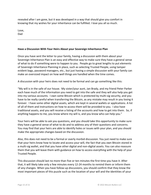revealed after I am gone, but it was developed in a way that should give you comfort in knowing that my wishes for your inheritance can be fulfilled. I love you all so much.

Love, Dad

#### <span id="page-15-0"></span>**Have a Discussion With Your Heirs About your Sovereign Inheritance Plan**

Once you have sent the letter to your family, having a discussion with them about your Sovereign Inheritance Plan is an easy and effective way to make sure they have a general sense of what to do if something were to happen to you. People go to great lengths to put elements of Sovereign Inheritance Planning in place, such as selecting Trusted People, using tamper evident bags, password managers, etc., but just having a simple discussion with your family can make an oversized impact on how well things are handled when the time comes.

A discussion with your heirs does not need to be formal and can go something like this:

"My will is in the safe of our house. My sister/your aunt, Jan Brady, and my friend Peter Parker each have much of the information you need to get into the safe and they will also help you get into my various accounts. I own some Bitcoin which is protected by multi-sig security, and you have to be really careful when transferring the Bitcoin, as any mistake may result in you losing it forever. I have some other digital assets, which are kept in several wallets or applications. A list of all of them and instructions on how to access them will be provided to you. I also have traditional assets, and you will receive a listing of the accounts and how to get into them. So, if anything happens to me, you know where my will is, and you know who can help you."

Your heirs will be able to ask you questions, and you should take this opportunity to make sure they have a general sense of what to do and to address any of their questions and concerns. You may find that your heirs are able to identify holes or issues with your plan, and you should make the appropriate changes based on the discussion.

Also, this does not need to be a formal or overly morbid discussion. You just need to make sure that your heirs know how to locate and access your will, the fact that you own Bitcoin stored in a multi-sig wallet, and that you have other digital and non-digital assets. You can also reassure them that you will leave them with guidance on how to access everything with the help of your Trusted People.

This discussion should last no more than five or ten minutes the first time you have it. After that, it will likely take only a few minutes every 12-24 months to remind them or inform them of any changes. When you have follow-up discussions, you should confirm that they know the most important pieces of this puzzle such as the location of your will and the identities of your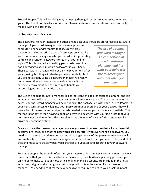Trusted People. This will go a long way in helping them gain access to your assets when you are gone. The benefit of this discussion is hard to overstate as a few minutes of time can really make a world of difference.

#### <span id="page-16-0"></span>**Utilize a Password Manager**

The passwords to your financial and other online accounts should be stored using a password

manager. A password manager is simply an app on your computer, phone and/or tablet that securely stores passwords and other private data. These apps only require you to remember a single master password while generating complex and random passwords for each of your online logins. This is far superior to writing passwords down in a book or trying to keep multiple passwords in your head. These password managers will not only help your heirs after your passing, but they will also help you in your daily life. If you are not already using a password manager, we highly recommend that you start using one right away. It is an extremely convenient and secure way to handle your account logins and other critical data.

*The use of a robust password manager is a cornerstone of good inheritance planning, and it is what your heirs will use to access your accounts when you are gone.*

The use of a robust password manager is a cornerstone of good inheritance planning, and it is what your heirs will use to access your accounts when you are gone. The master password to access your password manager will be included in the package left with your Trusted People. If your heirs can successfully log into your password manager on one of your devices, they will have a list of the usernames and passwords needed to access your accounts and wallets. This method is far better than having a book or a written document with your login info that your heirs may not be able to find. This also eliminates the issue of any confusion due to spelling errors or poor handwriting.

Once you have the password manager in place, you need to make sure that all your financial accounts are listed, and that the passwords are accurate. If you ever change a password, you need to make sure to update your password manager. Many of the password managers will automatically assist with password changes, but if they do not, then you need to be mindful of that and make sure that any password changes are updated and accurate in your password manager.

For some people, the thought of putting your passwords into an app is overwhelming. While it is advisable that you do this for all of your passwords, for inheritance planning purposes you only need to make sure your most critical online financial accounts are included in the initial setup. Your digital and non-digital asset listings will contain the name of your password manager. You need to confirm that every password required to get to your assets is in fact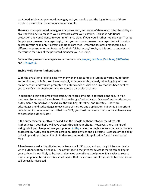contained inside your password manager, and you need to test the login for each of these assets to ensure that the accounts are accessible.

There are many password managers to choose from, and some of them even offer the ability to give specified heirs access to your passwords after your passing. This adds additional protection and convenience to your inheritance plan. If you would rather not give your Trusted People your password manager login, then you can use a password manager that will provide access to your heirs only if certain conditions are met. Different password managers have different requirements and features for their "digital legacy" tools, so it is best to understand the various features of the password manager you are using.

Some of the password managers we recommend are [Keeper,](https://www.keepersecurity.com/) [LastPass,](https://www.lastpass.com/) [Dashlane,](https://www.dashlane.com/plans) [BitWarden](https://bitwarden.com/) and [1Password.](https://1password.com/)

#### <span id="page-17-0"></span>**Enable Multi-Factor Authentication**

With the evolution of digital security, many online accounts are turning towards multi-factor authentication, or MFA. You have probably experienced this already when logging in to an online account and you are prompted to enter a code or click on a link that has been sent to you to verify it is indeed you trying to access a particular account.

In addition to text and email verification, there are some more advanced and secure MFA methods. Some are software based like the Google Authenticator, Microsoft Authenticator, or Authy. Some are hardware based like the YubiKey, NitroKey, and OnlyKey. There are advantages and disadvantages to each type of method and application, but what is important here is that if you have accounts that use MFA, you must make sure that your heirs have a way to access the authenticator.

If the authenticator is software based, like the Google Authenticator or the Microsoft Authenticator, your heirs will have access through your phone. However, there is a risk of losing this if you change or lose your phone. [Authy](https://authy.com/) solves the single device issue, and accounts protected by Authy can be synced across multiple devices and platforms. Because of the ability to backup and sync Authy, Bitcoin Butlers recommends this application for software-based MFA.

A hardware-based authenticator looks like a small USB drive, and you plug it into your device when authentication is needed. The advantage to the physical device is that it can be kept in your safe and is not likely to be lost or damaged as easily as a cellphone. It is easier to secure than a cellphone, but since it is a small device that must come out of the safe to be used, it can still be easily misplaced.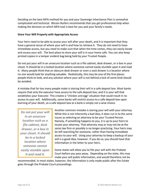Deciding on the best MFA method for you and your Sovereign Inheritance Plan is somewhat complicated and technical. Bitcoin Butlers recommends that you get professional help when making the decision on which MFA tool is best for you and your family's needs.

#### <span id="page-18-0"></span>**Store Your Will Properly with Appropriate Access**

Your heirs need to be able to access your will after your death, and it is important that they have a general sense of where your will is and how to retrieve it. They do not need to have immediate access, but you need to make sure that when the time comes, they can easily locate and access your will. The best place to store your will is in your home safe. You can also keep printed copies in a tamper evident bag being held by your Trusted People.

Do not put your will in an unsecure location such as a file cabinet, desk drawer, or a box in your closet. It should be in a locked location where someone cannot easily stumble upon it and read it. Many people think that an obscure desk drawer or even a sock drawer is a location where no one would look for anything valuable. Realistically, this may be one of the first places people think to look, and any solution where your will is not behind a lock of some kind should be avoided.

A mistake that far too many people make is storing their will in a safe deposit box. Most banks require that only the executor have access to the safe deposit box, and it is your will that establishes your Executor. This creates a "chicken and egg" situation that could result in no access to your will. Additionally, some banks will restrict access to a safe deposit box upon learning of your death, so a safe deposit box at a bank is simply not a wise choice.

*Do not put your will in an unsecure location such as a file cabinet, desk drawer, or a box in your closet. It should be in a locked location where someone cannot easily stumble upon it and read it.*

Another common mistake is storing your will with your attorney. While this is not inherently a bad idea, it does run in to the same issues as selecting an attorney to be your Trusted Person. Namely, if something happens to you, it is up to your heirs to locate your attorney. That attorney may or may not be at the same law firm or possibly is no longer practicing. Your heirs may be left searching for someone, rather than having immediate access to your will. Using your attorney to keep a backup of your will is a good idea, however. If you do so, you should have that information in the letter to your heirs.

Some states will allow you to file your will with the Probate Court before you pass away. Depending on the state, this may make your will public information, and would therefore not be

recommended. In most states, however, the information is only made public after the Estate goes through the Probate Court proceedings.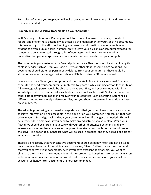Regardless of where you keep your will make sure your heirs know where it is, and how to get to it when needed.

#### <span id="page-19-0"></span>**Properly Manage Sensitive Documents on Your Computer**

With Sovereign Inheritance Planning we look for points of weaknesses or single points of failure, and one of these potential weaknesses is the management of your sensitive documents. It is unwise to go to the effort of keeping your sensitive information in an opaque tamper evident bag with a unique serial number, only to leave your files and/or computer exposed for someone to be able to read through a list of your assets and how they are stored. It is imperative that you manage sensitive documents that were created on your computer.

The documents you create for your Sovereign Inheritance Plan should not be stored in any kind of cloud service such as DropBox, Google Drive, or other cloud-based storage solutions. All documents should either be permanently deleted from your computer, or they should be stored on an external storage device such as a USB flash drive or SD memory card.

When you store a file on your computer and then delete it, it is not really removed from your computer. Instead, your computer is simply told to ignore it while running any of its other tasks. A knowledgeable person would be able to retrieve your files, and even someone with little knowledge could use commercially available software such as Recoverit, Stellar or numerous other data recovery applications to recover your deleted files. Each operating system has a different method to securely delete your files, and you should determine how to do this based on your system.

The advantages of using an external storage device is that you don't have to worry about your sensitive information being accessible in the cloud or on your computer. You can put that flash drive in your safe and go back and edit your documents later if changes are needed. This will be a tremendous time saver if you need to make any adjustments to your plan. While your flash drive should be stored in your safe with your other inheritance documents and any keys/wallets you may have, you are not required to make backup copies or password protect the drive. The paper documents are what will be used in practice, and they act as a backup for what is on the drive.

There is a philosophy that your sensitive documents should be handwritten and not be typed on a computer because of the risk involved. However, Bitcoin Butlers does not recommend that you handwrite your documents, even if you have excellent penmanship. You want to eliminate the chance that someone might misinterpret or read anything incorrectly. One wrong letter or number in a username or password could deny your heirs access to your assets or accounts, so handwritten documents are not recommended.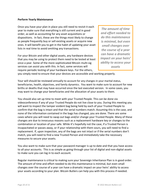#### <span id="page-20-0"></span>**Perform Yearly Maintenance**

Once you have your plan in place you still need to revisit it each year to make sure that everything is still current and in good order, as well as accounting for any asset acquisitions or dispositions. In fact, these are the things most likely to change as people frequently buy or sell existing assets or acquire new ones. It will benefit you to get in the habit of updating your asset lists in real time to avoid omitting any transactions.

For your Bitcoin and other digital assets, any hardware devices that you may be using to protect them need to be tested at least once a year. Some of the more sophisticated Bitcoin multi-sig services can assist you with this. In fact, some services will require periodic testing of your hardware keys. For the others,

*The amount of time and effort needed to do this maintenance is minimal, but even small changes over the course of a year can have a dramatic impact on your heirs' ability to access your assets*

you simply need to ensure that your devices are accessible and working properly.

Your will should be reviewed annually to account for any changes in your marital status, beneficiaries, health, objectives, and family dynamics. You want to make sure to account for new births or deaths that may have occurred since the last executed version. In some cases, you may want to change your beneficiaries and the allocation of your assets to them.

You should also set up time to meet with your Trusted People. This can be done via videoconference if any of your Trusted People do not live close to you. During this meeting you will want to inspect the tamper evident bag being held by each of your Trusted People to confirm that the bag is intact and that the serial numbers match. Assuming this is the case, and none of the information contained in the bags has changed, you are done. There are some cases where you will need to swap out bags and/or change your Trusted People. Many of these changes are due to innocuous reasons such as a replacement hardware key or changes to the combination or location of your safe. While it's hopefully not the case, if a Trusted Person is incapacitated or passes away, or if your relationship with them sours, you will need to find a replacement. If, upon inspection, any of the bags are not intact or if the serial numbers don't match, you will need to find a new Trusted Person and immediately take the necessary measures to secure your assets.

You also want to make sure that your password manager is up to date and that you have access to all your accounts. This is as simple as going through your list of digital and non-digital assets to make sure you can log in to each account.

Regular maintenance is critical to making sure your Sovereign Inheritance Plan is in good order. The amount of time and effort needed to do this maintenance is minimal, but even small changes over the course of a year can have a dramatic impact on your heirs' ability to access your assets according to your plan. Bitcoin Butlers can help you with this process if needed.